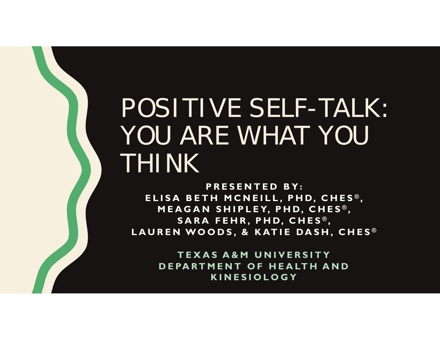# POSITIVE SELF-TALK: YOU ARE WHAT YOU THINK

**PRESENTED BY: ELISA BETH MCNEILL, PHD, CHES ® ,**  MEAGAN SHIPLEY, PHD, CHES®, **SARA FEHR, PHD, CHES ® , LAUREN WOODS, & KATIE DASH, CHES ®**

> **TEXAS A&M UNIVERSITYDEPARTMENT OF HEALTH AND KINESIOLOGY**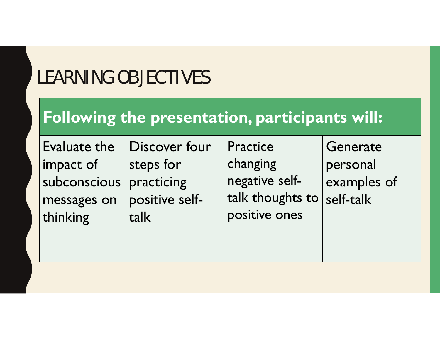## LEARNING OBJECTIVES

#### **Following the presentation, participants will:**

| Evaluate the | Discover four  | Practice         | Generate    |
|--------------|----------------|------------------|-------------|
| impact of    | steps for      | changing         | personal    |
| subconscious | practicing     | negative self-   | examples of |
| messages on  | positive self- | talk thoughts to | self-talk   |
| thinking     | talk           | positive ones    |             |
|              |                |                  |             |
|              |                |                  |             |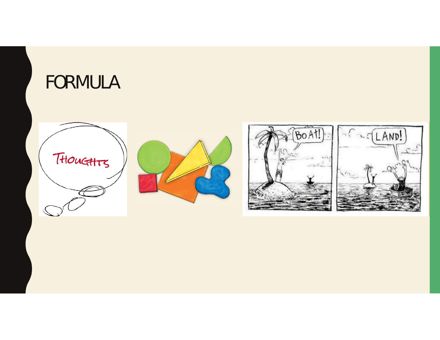

### FORMULA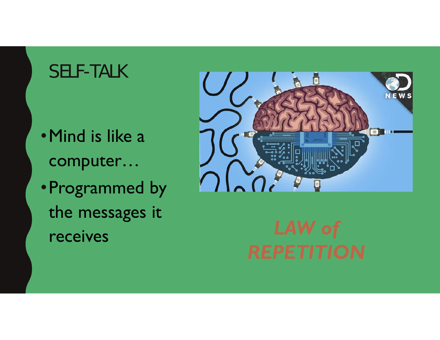### **SELF-TALK**

- Mind is like a computer...
- Programmed by the messages it receives

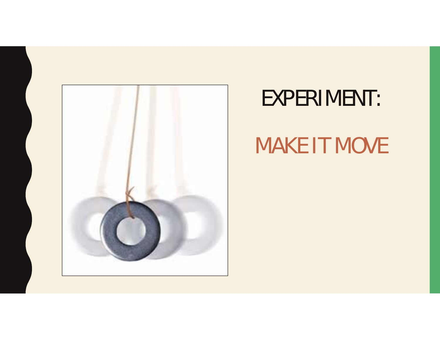

## EXPERIMENT:

# MAKE IT MOVE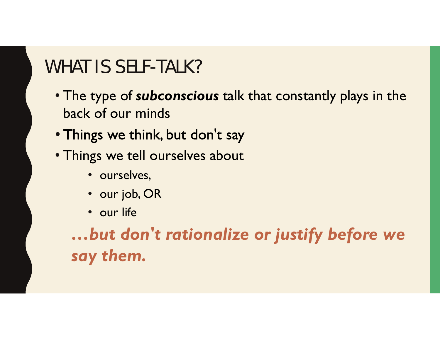### WHAT IS SELF-TALK?

- The type of *subconscious* talk that constantly plays in the back of our minds
- Things we think, but don't say
- Things we tell ourselves about
	- ourselves,
	- our job, OR
	- our life

*…but don't rationalize or justify before we say them.*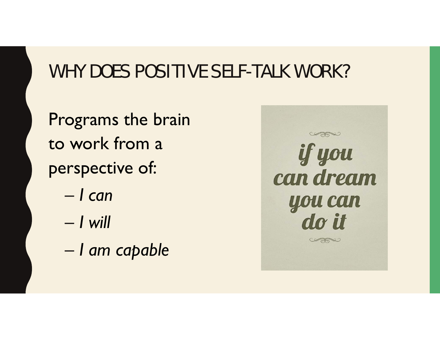### WHY DOES POSITIVE SELF-TALK WORK?

Programs the brain to work from a perspective of:

- *I can*
- *I will*
- *I am capable*

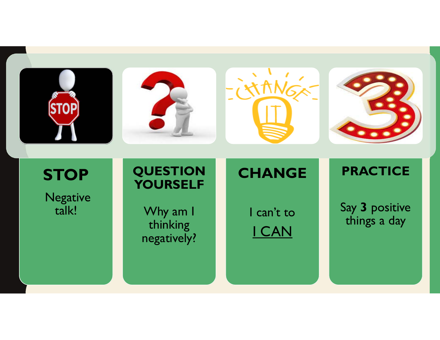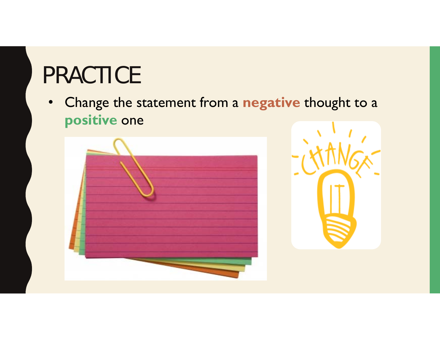# **PRACTICE**

• Change the statement from a negative thought to a positive one



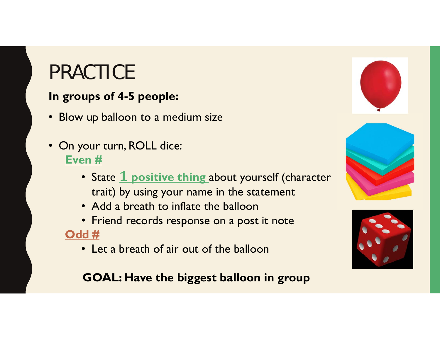## PRACTICE

#### **In groups of 4-5 people:**

- Blow up balloon to a medium size
- On your turn, ROLL dice: **Even #** 
	- State **1 positive thing** about yourself (character trait) by using your name in the statement
	- Add a breath to inflate the balloon
	- Friend records response on a post it note **Odd #** 
		- Let a breath of air out of the balloon

#### **GOAL: Have the biggest balloon in group**





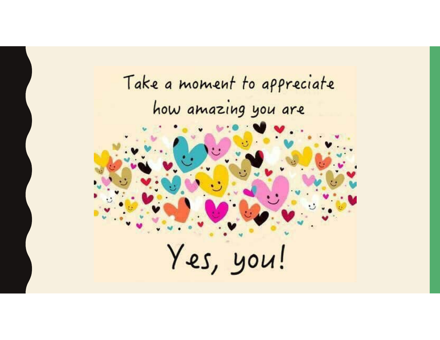